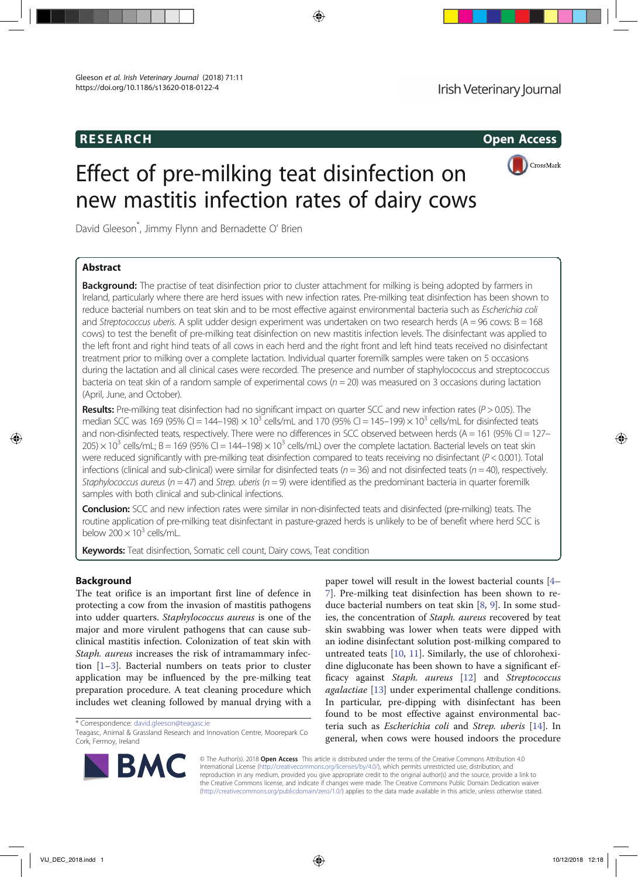## RESEARCH Open Access



# Effect of pre-milking teat disinfection on new mastitis infection rates of dairy cows

David Gleeson\* , Jimmy Flynn and Bernadette O' Brien

## Abstract

Background: The practise of teat disinfection prior to cluster attachment for milking is being adopted by farmers in Ireland, particularly where there are herd issues with new infection rates. Pre-milking teat disinfection has been shown to reduce bacterial numbers on teat skin and to be most effective against environmental bacteria such as Escherichia coli and Streptococcus uberis. A split udder design experiment was undertaken on two research herds ( $A = 96$  cows:  $B = 168$ ) cows) to test the benefit of pre-milking teat disinfection on new mastitis infection levels. The disinfectant was applied to the left front and right hind teats of all cows in each herd and the right front and left hind teats received no disinfectant treatment prior to milking over a complete lactation. Individual quarter foremilk samples were taken on 5 occasions during the lactation and all clinical cases were recorded. The presence and number of staphylococcus and streptococcus bacteria on teat skin of a random sample of experimental cows ( $n = 20$ ) was measured on 3 occasions during lactation (April, June, and October).

**Results:** Pre-milking teat disinfection had no significant impact on quarter SCC and new infection rates ( $P > 0.05$ ). The median SCC was 169 (95% CI = 144–198)  $\times$  10<sup>3</sup> cells/mL and 170 (95% CI = 145–199)  $\times$  10<sup>3</sup> cells/mL for disinfected teats and non-disinfected teats, respectively. There were no differences in SCC observed between herds (A = 161 (95% CI = 127–  $205) \times 10^3$  cells/mL; B = 169 (95% CI = 144–198)  $\times 10^3$  cells/mL) over the complete lactation. Bacterial levels on teat skin were reduced significantly with pre-milking teat disinfection compared to teats receiving no disinfectant ( $P < 0.001$ ). Total infections (clinical and sub-clinical) were similar for disinfected teats ( $n = 36$ ) and not disinfected teats ( $n = 40$ ), respectively. Staphylococcus aureus ( $n = 47$ ) and Strep. uberis ( $n = 9$ ) were identified as the predominant bacteria in quarter foremilk samples with both clinical and sub-clinical infections.

**Conclusion:** SCC and new infection rates were similar in non-disinfected teats and disinfected (pre-milking) teats. The routine application of pre-milking teat disinfectant in pasture-grazed herds is unlikely to be of benefit where herd SCC is below  $200 \times 10^3$  cells/mL.

Keywords: Teat disinfection, Somatic cell count, Dairy cows, Teat condition

## Background

The teat orifice is an important first line of defence in protecting a cow from the invasion of mastitis pathogens into udder quarters. Staphylococcus aureus is one of the major and more virulent pathogens that can cause subclinical mastitis infection. Colonization of teat skin with Staph. aureus increases the risk of intramammary infection [1–3]. Bacterial numbers on teats prior to cluster application may be influenced by the pre-milking teat preparation procedure. A teat cleaning procedure which includes wet cleaning followed by manual drying with a

\* Correspondence: david.gleeson@teagasc.ie

paper towel will result in the lowest bacterial counts [4– 7]. Pre-milking teat disinfection has been shown to reduce bacterial numbers on teat skin [8, 9]. In some studies, the concentration of Staph. aureus recovered by teat skin swabbing was lower when teats were dipped with an iodine disinfectant solution post-milking compared to untreated teats [10, 11]. Similarly, the use of chlorohexidine digluconate has been shown to have a significant efficacy against Staph. aureus [12] and Streptococcus agalactiae [13] under experimental challenge conditions. In particular, pre-dipping with disinfectant has been found to be most effective against environmental bacteria such as Escherichia coli and Strep. uberis [14]. In general, when cows were housed indoors the procedure



© The Author(s). 2018 Open Access This article is distributed under the terms of the Creative Commons Attribution 4.0 International License (http://creativecommons.org/licenses/by/4.0/), which permits unrestricted use, distribution, and reproduction in any medium, provided you give appropriate credit to the original author(s) and the source, provide a link to the Creative Commons license, and indicate if changes were made. The Creative Commons Public Domain Dedication waiver (http://creativecommons.org/publicdomain/zero/1.0/) applies to the data made available in this article, unless otherwise stated.

Teagasc, Animal & Grassland Research and Innovation Centre, Moorepark Co Cork, Fermoy, Ireland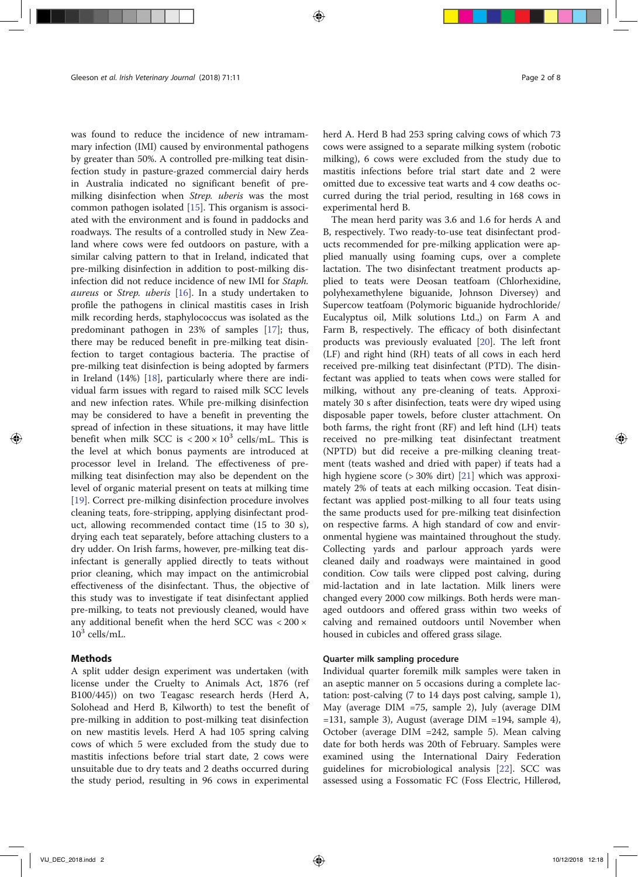was found to reduce the incidence of new intramammary infection (IMI) caused by environmental pathogens by greater than 50%. A controlled pre-milking teat disinfection study in pasture-grazed commercial dairy herds in Australia indicated no significant benefit of premilking disinfection when Strep. uberis was the most common pathogen isolated [15]. This organism is associated with the environment and is found in paddocks and roadways. The results of a controlled study in New Zealand where cows were fed outdoors on pasture, with a similar calving pattern to that in Ireland, indicated that pre-milking disinfection in addition to post-milking disinfection did not reduce incidence of new IMI for Staph. aureus or Strep. uberis [16]. In a study undertaken to profile the pathogens in clinical mastitis cases in Irish milk recording herds, staphylococcus was isolated as the predominant pathogen in 23% of samples [17]; thus, there may be reduced benefit in pre-milking teat disinfection to target contagious bacteria. The practise of pre-milking teat disinfection is being adopted by farmers in Ireland (14%) [18], particularly where there are individual farm issues with regard to raised milk SCC levels and new infection rates. While pre-milking disinfection may be considered to have a benefit in preventing the spread of infection in these situations, it may have little benefit when milk SCC is  $\langle 200 \times 10^3 \text{ cells/mL}$ . This is the level at which bonus payments are introduced at processor level in Ireland. The effectiveness of premilking teat disinfection may also be dependent on the level of organic material present on teats at milking time [19]. Correct pre-milking disinfection procedure involves cleaning teats, fore-stripping, applying disinfectant product, allowing recommended contact time (15 to 30 s), drying each teat separately, before attaching clusters to a dry udder. On Irish farms, however, pre-milking teat disinfectant is generally applied directly to teats without prior cleaning, which may impact on the antimicrobial effectiveness of the disinfectant. Thus, the objective of this study was to investigate if teat disinfectant applied pre-milking, to teats not previously cleaned, would have any additional benefit when the herd SCC was < 200 ×  $10^3$  cells/mL.

## Methods

A split udder design experiment was undertaken (with license under the Cruelty to Animals Act, 1876 (ref B100/445)) on two Teagasc research herds (Herd A, Solohead and Herd B, Kilworth) to test the benefit of pre-milking in addition to post-milking teat disinfection on new mastitis levels. Herd A had 105 spring calving cows of which 5 were excluded from the study due to mastitis infections before trial start date, 2 cows were unsuitable due to dry teats and 2 deaths occurred during the study period, resulting in 96 cows in experimental

herd A. Herd B had 253 spring calving cows of which 73 cows were assigned to a separate milking system (robotic milking), 6 cows were excluded from the study due to mastitis infections before trial start date and 2 were omitted due to excessive teat warts and 4 cow deaths occurred during the trial period, resulting in 168 cows in experimental herd B.

The mean herd parity was 3.6 and 1.6 for herds A and B, respectively. Two ready-to-use teat disinfectant products recommended for pre-milking application were applied manually using foaming cups, over a complete lactation. The two disinfectant treatment products applied to teats were Deosan teatfoam (Chlorhexidine, polyhexamethylene biguanide, Johnson Diversey) and Supercow teatfoam (Polymoric biguanide hydrochloride/ Eucalyptus oil, Milk solutions Ltd.,) on Farm A and Farm B, respectively. The efficacy of both disinfectant products was previously evaluated [20]. The left front (LF) and right hind (RH) teats of all cows in each herd received pre-milking teat disinfectant (PTD). The disinfectant was applied to teats when cows were stalled for milking, without any pre-cleaning of teats. Approximately 30 s after disinfection, teats were dry wiped using disposable paper towels, before cluster attachment. On both farms, the right front (RF) and left hind (LH) teats received no pre-milking teat disinfectant treatment (NPTD) but did receive a pre-milking cleaning treatment (teats washed and dried with paper) if teats had a high hygiene score (> 30% dirt) [21] which was approximately 2% of teats at each milking occasion. Teat disinfectant was applied post-milking to all four teats using the same products used for pre-milking teat disinfection on respective farms. A high standard of cow and environmental hygiene was maintained throughout the study. Collecting yards and parlour approach yards were cleaned daily and roadways were maintained in good condition. Cow tails were clipped post calving, during mid-lactation and in late lactation. Milk liners were changed every 2000 cow milkings. Both herds were managed outdoors and offered grass within two weeks of calving and remained outdoors until November when housed in cubicles and offered grass silage.

#### Quarter milk sampling procedure

Individual quarter foremilk milk samples were taken in an aseptic manner on 5 occasions during a complete lactation: post-calving (7 to 14 days post calving, sample 1), May (average DIM =75, sample 2), July (average DIM  $=131$ , sample 3), August (average DIM  $=194$ , sample 4), October (average DIM =242, sample 5). Mean calving date for both herds was 20th of February. Samples were examined using the International Dairy Federation guidelines for microbiological analysis [22]. SCC was assessed using a Fossomatic FC (Foss Electric, Hillerød,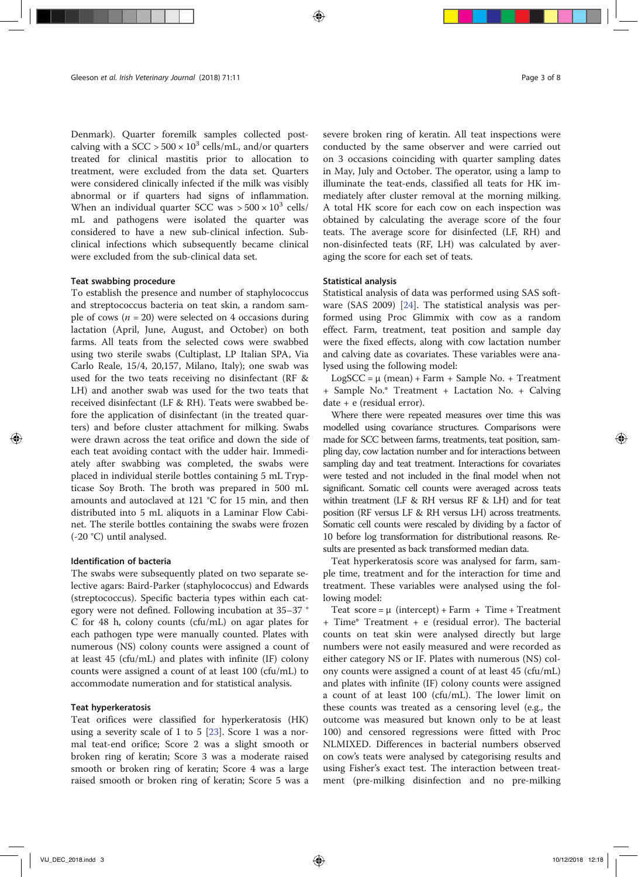Denmark). Quarter foremilk samples collected postcalving with a SCC >  $500 \times 10^3$  cells/mL, and/or quarters treated for clinical mastitis prior to allocation to treatment, were excluded from the data set. Quarters were considered clinically infected if the milk was visibly abnormal or if quarters had signs of inflammation. When an individual quarter SCC was  $> 500 \times 10^3$  cells/ mL and pathogens were isolated the quarter was considered to have a new sub-clinical infection. Subclinical infections which subsequently became clinical were excluded from the sub-clinical data set.

## Teat swabbing procedure

To establish the presence and number of staphylococcus and streptococcus bacteria on teat skin, a random sample of cows ( $n = 20$ ) were selected on 4 occasions during lactation (April, June, August, and October) on both farms. All teats from the selected cows were swabbed using two sterile swabs (Cultiplast, LP Italian SPA, Via Carlo Reale, 15/4, 20,157, Milano, Italy); one swab was used for the two teats receiving no disinfectant (RF & LH) and another swab was used for the two teats that received disinfectant (LF & RH). Teats were swabbed before the application of disinfectant (in the treated quarters) and before cluster attachment for milking. Swabs were drawn across the teat orifice and down the side of each teat avoiding contact with the udder hair. Immediately after swabbing was completed, the swabs were placed in individual sterile bottles containing 5 mL Trypticase Soy Broth. The broth was prepared in 500 mL amounts and autoclaved at 121 °C for 15 min, and then distributed into 5 mL aliquots in a Laminar Flow Cabinet. The sterile bottles containing the swabs were frozen (-20 °C) until analysed.

## Identification of bacteria

The swabs were subsequently plated on two separate selective agars: Baird-Parker (staphylococcus) and Edwards (streptococcus). Specific bacteria types within each category were not defined. Following incubation at 35–37 ° C for 48 h, colony counts (cfu/mL) on agar plates for each pathogen type were manually counted. Plates with numerous (NS) colony counts were assigned a count of at least 45 (cfu/mL) and plates with infinite (IF) colony counts were assigned a count of at least 100 (cfu/mL) to accommodate numeration and for statistical analysis.

#### Teat hyperkeratosis

Teat orifices were classified for hyperkeratosis (HK) using a severity scale of 1 to 5 [23]. Score 1 was a normal teat-end orifice; Score 2 was a slight smooth or broken ring of keratin; Score 3 was a moderate raised smooth or broken ring of keratin; Score 4 was a large raised smooth or broken ring of keratin; Score 5 was a severe broken ring of keratin. All teat inspections were conducted by the same observer and were carried out on 3 occasions coinciding with quarter sampling dates in May, July and October. The operator, using a lamp to illuminate the teat-ends, classified all teats for HK immediately after cluster removal at the morning milking. A total HK score for each cow on each inspection was obtained by calculating the average score of the four teats. The average score for disinfected (LF, RH) and non-disinfected teats (RF, LH) was calculated by averaging the score for each set of teats.

## Statistical analysis

Statistical analysis of data was performed using SAS software (SAS 2009) [24]. The statistical analysis was performed using Proc Glimmix with cow as a random effect. Farm, treatment, teat position and sample day were the fixed effects, along with cow lactation number and calving date as covariates. These variables were analysed using the following model:

 $LogSCC = \mu$  (mean) + Farm + Sample No. + Treatment + Sample No.\* Treatment + Lactation No. + Calving date + e (residual error).

Where there were repeated measures over time this was modelled using covariance structures. Comparisons were made for SCC between farms, treatments, teat position, sampling day, cow lactation number and for interactions between sampling day and teat treatment. Interactions for covariates were tested and not included in the final model when not significant. Somatic cell counts were averaged across teats within treatment (LF & RH versus RF & LH) and for teat position (RF versus LF & RH versus LH) across treatments. Somatic cell counts were rescaled by dividing by a factor of 10 before log transformation for distributional reasons. Results are presented as back transformed median data.

Teat hyperkeratosis score was analysed for farm, sample time, treatment and for the interaction for time and treatment. These variables were analysed using the following model:

Teat score =  $\mu$  (intercept) + Farm + Time + Treatment + Time\* Treatment + e (residual error). The bacterial counts on teat skin were analysed directly but large numbers were not easily measured and were recorded as either category NS or IF. Plates with numerous (NS) colony counts were assigned a count of at least 45 (cfu/mL) and plates with infinite (IF) colony counts were assigned a count of at least 100 (cfu/mL). The lower limit on these counts was treated as a censoring level (e.g., the outcome was measured but known only to be at least 100) and censored regressions were fitted with Proc NLMIXED. Differences in bacterial numbers observed on cow's teats were analysed by categorising results and using Fisher's exact test. The interaction between treatment (pre-milking disinfection and no pre-milking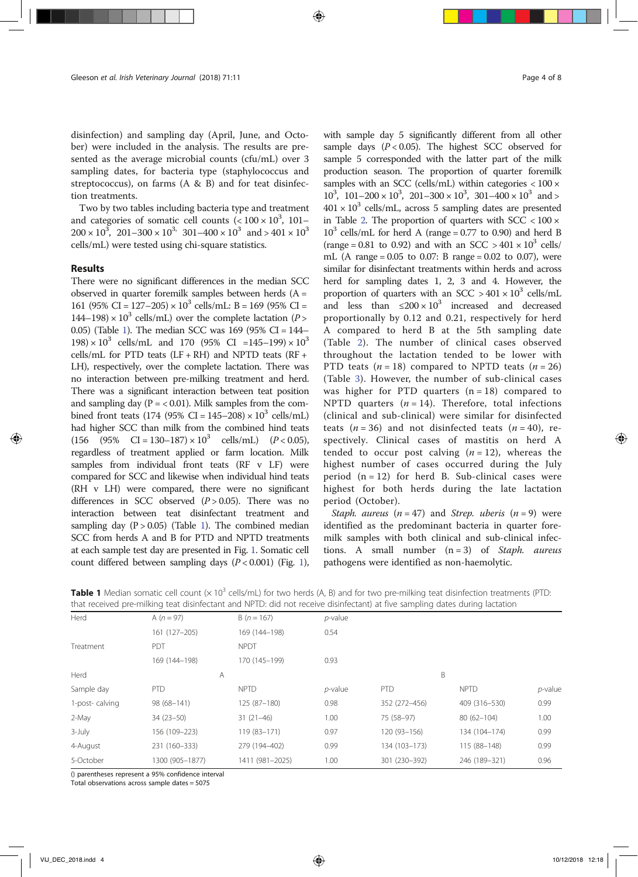disinfection) and sampling day (April, June, and October) were included in the analysis. The results are presented as the average microbial counts (cfu/mL) over 3 sampling dates, for bacteria type (staphylococcus and streptococcus), on farms (A & B) and for teat disinfection treatments.

Two by two tables including bacteria type and treatment and categories of somatic cell counts  $(< 100 \times 10^3, 101 200 \times 10^3$ ,  $201 - 300 \times 10^3$ ,  $301 - 400 \times 10^3$  and  $> 401 \times 10^3$ cells/mL) were tested using chi-square statistics.

#### Results

There were no significant differences in the median SCC observed in quarter foremilk samples between herds  $(A =$ 161 (95% CI = 127–205)  $\times$  10<sup>3</sup> cells/mL: B = 169 (95% CI =  $144-198 \times 10^3$  cells/mL) over the complete lactation (P > 0.05) (Table 1). The median SCC was 169 (95% CI = 144–  $198 \times 10^3$  cells/mL and 170 (95% CI =145–199)  $\times 10^3$ cells/mL for PTD teats  $(LF + RH)$  and NPTD teats  $(RF +$ LH), respectively, over the complete lactation. There was no interaction between pre-milking treatment and herd. There was a significant interaction between teat position and sampling day ( $P = < 0.01$ ). Milk samples from the combined front teats (174 (95% CI =  $145-208 \times 10^3$  cells/mL) had higher SCC than milk from the combined hind teats  $(156 \t (95\t \& C1 = 130-187) \times 10^3 \t cells/mL)$   $(P < 0.05)$ , regardless of treatment applied or farm location. Milk samples from individual front teats (RF v LF) were compared for SCC and likewise when individual hind teats (RH v LH) were compared, there were no significant differences in SCC observed  $(P > 0.05)$ . There was no interaction between teat disinfectant treatment and sampling day  $(P > 0.05)$  (Table 1). The combined median SCC from herds A and B for PTD and NPTD treatments at each sample test day are presented in Fig. 1. Somatic cell count differed between sampling days  $(P < 0.001)$  (Fig. 1), with sample day 5 significantly different from all other sample days  $(P < 0.05)$ . The highest SCC observed for sample 5 corresponded with the latter part of the milk production season. The proportion of quarter foremilk samples with an SCC (cells/mL) within categories  $< 100 \times$  $10^3$ ,  $101-200 \times 10^3$ ,  $201-300 \times 10^3$ ,  $301-400 \times 10^3$  and >  $401 \times 10^3$  cells/mL, across 5 sampling dates are presented in Table 2. The proportion of quarters with  $SCC < 100 \times$  $10^3$  cells/mL for herd A (range = 0.77 to 0.90) and herd B (range = 0.81 to 0.92) and with an SCC >  $401 \times 10^3$  cells/ mL (A range =  $0.05$  to 0.07: B range =  $0.02$  to 0.07), were similar for disinfectant treatments within herds and across herd for sampling dates 1, 2, 3 and 4. However, the proportion of quarters with an SCC  $> 401 \times 10^3$  cells/mL and less than  $\leq 200 \times 10^3$  increased and decreased proportionally by 0.12 and 0.21, respectively for herd A compared to herd B at the 5th sampling date (Table 2). The number of clinical cases observed throughout the lactation tended to be lower with PTD teats  $(n = 18)$  compared to NPTD teats  $(n = 26)$ (Table 3). However, the number of sub-clinical cases was higher for PTD quarters  $(n = 18)$  compared to NPTD quarters  $(n = 14)$ . Therefore, total infections (clinical and sub-clinical) were similar for disinfected teats  $(n = 36)$  and not disinfected teats  $(n = 40)$ , respectively. Clinical cases of mastitis on herd A tended to occur post calving  $(n = 12)$ , whereas the highest number of cases occurred during the July period  $(n = 12)$  for herd B. Sub-clinical cases were highest for both herds during the late lactation period (October).

Staph. aureus  $(n = 47)$  and Strep. uberis  $(n = 9)$  were identified as the predominant bacteria in quarter foremilk samples with both clinical and sub-clinical infections. A small number  $(n = 3)$  of Staph. aureus pathogens were identified as non-haemolytic.

|                | that received pre-milking teat disinfectant and NPTD: did not receive disinfectant) at five sampling dates during lactation |                 |            |               |                |            |
|----------------|-----------------------------------------------------------------------------------------------------------------------------|-----------------|------------|---------------|----------------|------------|
| Herd           | A $(n = 97)$                                                                                                                | $B(n = 167)$    | $p$ -value |               |                |            |
|                | 161 (127-205)                                                                                                               | 169 (144-198)   | 0.54       |               |                |            |
| Treatment      | <b>PDT</b>                                                                                                                  | <b>NPDT</b>     |            |               |                |            |
|                | 169 (144-198)                                                                                                               | 170 (145-199)   | 0.93       |               |                |            |
| Herd           | A                                                                                                                           |                 |            | B             |                |            |
| Sample day     | PTD                                                                                                                         | <b>NPTD</b>     | $p$ -value | PTD           | <b>NPTD</b>    | $p$ -value |
| 1-post-calving | 98 (68-141)                                                                                                                 | 125 (87-180)    | 0.98       | 352 (272-456) | 409 (316-530)  | 0.99       |
| 2-May          | $34(23-50)$                                                                                                                 | $31(21-46)$     | 1.00       | 75 (58-97)    | $80(62 - 104)$ | 1.00       |
| $3$ -July      | 156 (109-223)                                                                                                               | 119 (83-171)    | 0.97       | 120 (93-156)  | 134 (104-174)  | 0.99       |
| 4-August       | 231 (160-333)                                                                                                               | 279 (194-402)   | 0.99       | 134 (103-173) | 115 (88-148)   | 0.99       |
| 5-October      | 1300 (905-1877)                                                                                                             | 1411 (981-2025) | 1.00       | 301 (230-392) | 246 (189-321)  | 0.96       |
|                |                                                                                                                             |                 |            |               |                |            |

**Table 1** Median somatic cell count  $(x 10^3 \text{ cells/mL})$  for two herds  $(A, B)$  and for two pre-milking teat disinfection treatments (PTD:

() parentheses represent a 95% confidence interval

Total observations across sample dates = 5075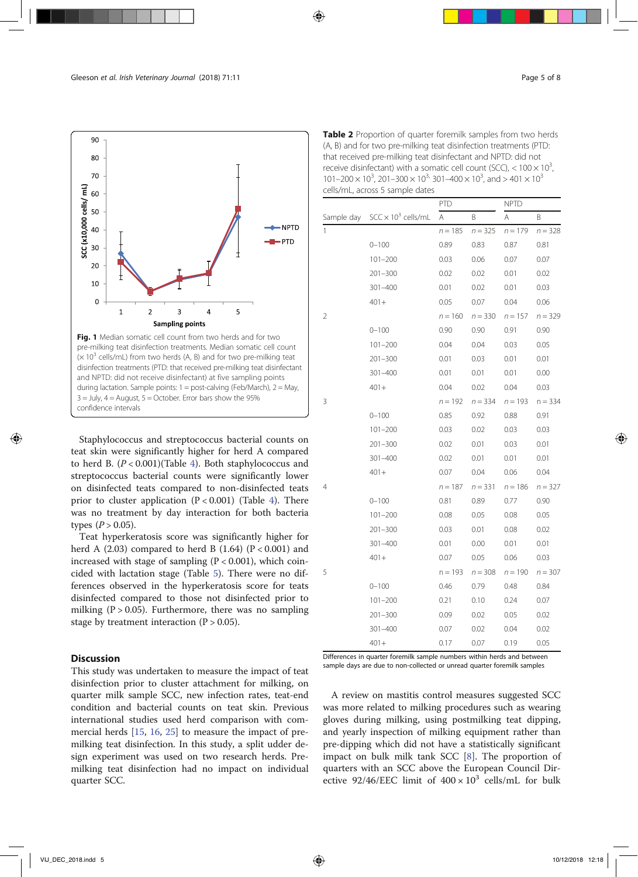

Staphylococcus and streptococcus bacterial counts on teat skin were significantly higher for herd A compared to herd B.  $(P < 0.001)$ (Table 4). Both staphylococcus and streptococcus bacterial counts were significantly lower on disinfected teats compared to non-disinfected teats prior to cluster application  $(P < 0.001)$  (Table 4). There was no treatment by day interaction for both bacteria types ( $P > 0.05$ ).

Teat hyperkeratosis score was significantly higher for herd A  $(2.03)$  compared to herd B  $(1.64)$   $(P < 0.001)$  and increased with stage of sampling  $(P < 0.001)$ , which coincided with lactation stage (Table 5). There were no differences observed in the hyperkeratosis score for teats disinfected compared to those not disinfected prior to milking  $(P > 0.05)$ . Furthermore, there was no sampling stage by treatment interaction  $(P > 0.05)$ .

## **Discussion**

This study was undertaken to measure the impact of teat disinfection prior to cluster attachment for milking, on quarter milk sample SCC, new infection rates, teat-end condition and bacterial counts on teat skin. Previous international studies used herd comparison with commercial herds [15, 16, 25] to measure the impact of premilking teat disinfection. In this study, a split udder design experiment was used on two research herds. Premilking teat disinfection had no impact on individual quarter SCC.

Table 2 Proportion of quarter foremilk samples from two herds (A, B) and for two pre-milking teat disinfection treatments (PTD: that received pre-milking teat disinfectant and NPTD: did not receive disinfectant) with a somatic cell count (SCC),  $<$  100  $\times$  10<sup>3</sup>, ,  $101-200 \times 10^3$ ,  $201-300 \times 10^{3}$ ,  $301-400 \times 10^3$ , and  $> 401 \times 10^3$ cells/mL, across 5 sample dates

|   |                                       | PTD       |           | <b>NPTD</b> |           |
|---|---------------------------------------|-----------|-----------|-------------|-----------|
|   | Sample day $SCC \times 10^3$ cells/mL | $\forall$ | Β         | Α           | B         |
| 1 |                                       | $n = 185$ | $n = 325$ | $n = 179$   | $n = 328$ |
|   | $0 - 100$                             | 0.89      | 0.83      | 0.87        | 0.81      |
|   | $101 - 200$                           | 0.03      | 0.06      | 0.07        | 0.07      |
|   | $201 - 300$                           | 0.02      | 0.02      | 0.01        | 0.02      |
|   | $301 - 400$                           | 0.01      | 0.02      | 0.01        | 0.03      |
|   | $401 +$                               | 0.05      | 0.07      | 0.04        | 0.06      |
| 2 |                                       | $n = 160$ | $n = 330$ | $n = 157$   | $n = 329$ |
|   | $0 - 100$                             | 0.90      | 0.90      | 0.91        | 0.90      |
|   | $101 - 200$                           | 0.04      | 0.04      | 0.03        | 0.05      |
|   | $201 - 300$                           | 0.01      | 0.03      | 0.01        | 0.01      |
|   | $301 - 400$                           | 0.01      | 0.01      | 0.01        | 0.00      |
|   | $401 +$                               | 0.04      | 0.02      | 0.04        | 0.03      |
| 3 |                                       | $n = 192$ | $n = 334$ | $n = 193$   | $n = 334$ |
|   | $0 - 100$                             | 0.85      | 0.92      | 0.88        | 0.91      |
|   | $101 - 200$                           | 0.03      | 0.02      | 0.03        | 0.03      |
|   | $201 - 300$                           | 0.02      | 0.01      | 0.03        | 0.01      |
|   | $301 - 400$                           | 0.02      | 0.01      | 0.01        | 0.01      |
|   | $401 +$                               | 0.07      | 0.04      | 0.06        | 0.04      |
| 4 |                                       | $n = 187$ | $n = 331$ | $n = 186$   | $n = 327$ |
|   | $0 - 100$                             | 0.81      | 0.89      | 0.77        | 0.90      |
|   | $101 - 200$                           | 0.08      | 0.05      | 0.08        | 0.05      |
|   | $201 - 300$                           | 0.03      | 0.01      | 0.08        | 0.02      |
|   | $301 - 400$                           | 0.01      | 0.00      | 0.01        | 0.01      |
|   | $401 +$                               | 0.07      | 0.05      | 0.06        | 0.03      |
| 5 |                                       | $n = 193$ | $n = 308$ | $n = 190$   | $n = 307$ |
|   | $0 - 100$                             | 0.46      | 0.79      | 0.48        | 0.84      |
|   | $101 - 200$                           | 0.21      | 0.10      | 0.24        | 0.07      |
|   | $201 - 300$                           | 0.09      | 0.02      | 0.05        | 0.02      |
|   | $301 - 400$                           | 0.07      | 0.02      | 0.04        | 0.02      |
|   | $401 +$                               | 0.17      | 0.07      | 0.19        | 0.05      |

Differences in quarter foremilk sample numbers within herds and between sample days are due to non-collected or unread quarter foremilk samples

A review on mastitis control measures suggested SCC was more related to milking procedures such as wearing gloves during milking, using postmilking teat dipping, and yearly inspection of milking equipment rather than pre-dipping which did not have a statistically significant impact on bulk milk tank SCC [8]. The proportion of quarters with an SCC above the European Council Directive 92/46/EEC limit of  $400 \times 10^3$  cells/mL for bulk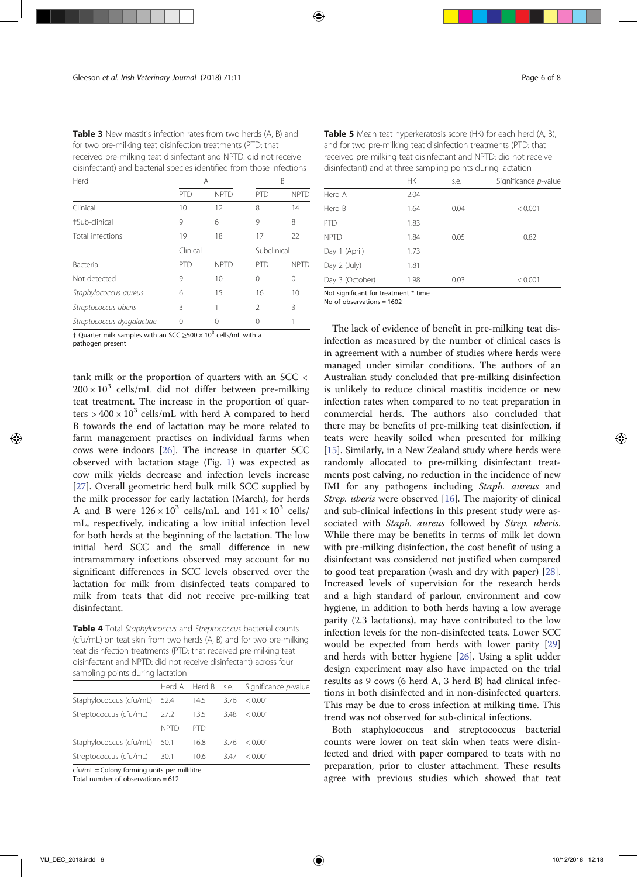Table 3 New mastitis infection rates from two herds (A, B) and for two pre-milking teat disinfection treatments (PTD: that received pre-milking teat disinfectant and NPTD: did not receive disinfectant) and bacterial species identified from those infections

| Herd                       |            | A           |                | B           |  |
|----------------------------|------------|-------------|----------------|-------------|--|
|                            | <b>PTD</b> | <b>NPTD</b> | <b>PTD</b>     | <b>NPTD</b> |  |
| Clinical                   | 10         | 12          | 8              | 14          |  |
| +Sub-clinical              | 9          | 6           | 9              | 8           |  |
| Total infections           | 19         | 18          | 17             | 22          |  |
|                            | Clinical   |             | Subclinical    |             |  |
| Bacteria                   | <b>PTD</b> | <b>NPTD</b> | <b>PTD</b>     | <b>NPTD</b> |  |
| Not detected               | 9          | 10          | 0              | $\Omega$    |  |
| Staphylococcus aureus      | 6          | 15          | 16             | 10          |  |
| Streptococcus uberis       | 3          |             | $\mathfrak{D}$ | 3           |  |
| Streptococcus dysgalactiae | 0          |             |                |             |  |

† Quarter milk samples with an SCC ≥500  $\times$  10<sup>3</sup> cells/mL with a

pathogen present

tank milk or the proportion of quarters with an SCC <  $200 \times 10^3$  cells/mL did not differ between pre-milking teat treatment. The increase in the proportion of quarters >  $400 \times 10^3$  cells/mL with herd A compared to herd B towards the end of lactation may be more related to farm management practises on individual farms when cows were indoors [26]. The increase in quarter SCC observed with lactation stage (Fig. 1) was expected as cow milk yields decrease and infection levels increase [27]. Overall geometric herd bulk milk SCC supplied by the milk processor for early lactation (March), for herds A and B were  $126 \times 10^3$  cells/mL and  $141 \times 10^3$  cells/ mL, respectively, indicating a low initial infection level for both herds at the beginning of the lactation. The low initial herd SCC and the small difference in new intramammary infections observed may account for no significant differences in SCC levels observed over the lactation for milk from disinfected teats compared to milk from teats that did not receive pre-milking teat disinfectant.

Table 4 Total Staphylococcus and Streptococcus bacterial counts (cfu/mL) on teat skin from two herds (A, B) and for two pre-milking teat disinfection treatments (PTD: that received pre-milking teat disinfectant and NPTD: did not receive disinfectant) across four sampling points during lactation

|                              |             |            |      | Herd A Herd B s.e. Significance p-value |
|------------------------------|-------------|------------|------|-----------------------------------------|
| Staphylococcus (cfu/mL) 52.4 |             | 14.5       |      | $3.76 \le 0.001$                        |
| Streptococcus (cfu/mL) 27.2  |             | 13.5       | 3.48 | < 0.001                                 |
|                              | <b>NPTD</b> | <b>PTD</b> |      |                                         |
| Staphylococcus (cfu/mL) 50.1 |             | 16.8       | 3.76 | < 0.001                                 |
| Streptococcus (cfu/mL) 30.1  |             | 10.6       | 3.47 | < 0.001                                 |

cfu/mL = Colony forming units per millilitre

Total number of observations  $= 612$ 

Table 5 Mean teat hyperkeratosis score (HK) for each herd (A, B), and for two pre-milking teat disinfection treatments (PTD: that received pre-milking teat disinfectant and NPTD: did not receive disinfectant) and at three sampling points during lactation

|                                      | <b>HK</b> | s.e. | Significance p-value |  |  |
|--------------------------------------|-----------|------|----------------------|--|--|
| Herd A                               | 2.04      |      |                      |  |  |
| Herd B                               | 1.64      | 0.04 | < 0.001              |  |  |
| <b>PTD</b>                           | 1.83      |      |                      |  |  |
| <b>NPTD</b>                          | 1.84      | 0.05 | 0.82                 |  |  |
| Day 1 (April)                        | 1.73      |      |                      |  |  |
| Day 2 (July)                         | 1.81      |      |                      |  |  |
| Day 3 (October)                      | 1.98      | 0.03 | < 0.001              |  |  |
| Not significant for treatment * time |           |      |                      |  |  |

No of observations = 1602

The lack of evidence of benefit in pre-milking teat disinfection as measured by the number of clinical cases is in agreement with a number of studies where herds were managed under similar conditions. The authors of an Australian study concluded that pre-milking disinfection is unlikely to reduce clinical mastitis incidence or new infection rates when compared to no teat preparation in commercial herds. The authors also concluded that there may be benefits of pre-milking teat disinfection, if teats were heavily soiled when presented for milking [15]. Similarly, in a New Zealand study where herds were randomly allocated to pre-milking disinfectant treatments post calving, no reduction in the incidence of new IMI for any pathogens including Staph. aureus and Strep. uberis were observed [16]. The majority of clinical and sub-clinical infections in this present study were associated with Staph. aureus followed by Strep. uberis. While there may be benefits in terms of milk let down with pre-milking disinfection, the cost benefit of using a disinfectant was considered not justified when compared to good teat preparation (wash and dry with paper) [28]. Increased levels of supervision for the research herds and a high standard of parlour, environment and cow hygiene, in addition to both herds having a low average parity (2.3 lactations), may have contributed to the low infection levels for the non-disinfected teats. Lower SCC would be expected from herds with lower parity [29] and herds with better hygiene [26]. Using a split udder design experiment may also have impacted on the trial results as 9 cows (6 herd A, 3 herd B) had clinical infections in both disinfected and in non-disinfected quarters. This may be due to cross infection at milking time. This trend was not observed for sub-clinical infections.

Both staphylococcus and streptococcus bacterial counts were lower on teat skin when teats were disinfected and dried with paper compared to teats with no preparation, prior to cluster attachment. These results agree with previous studies which showed that teat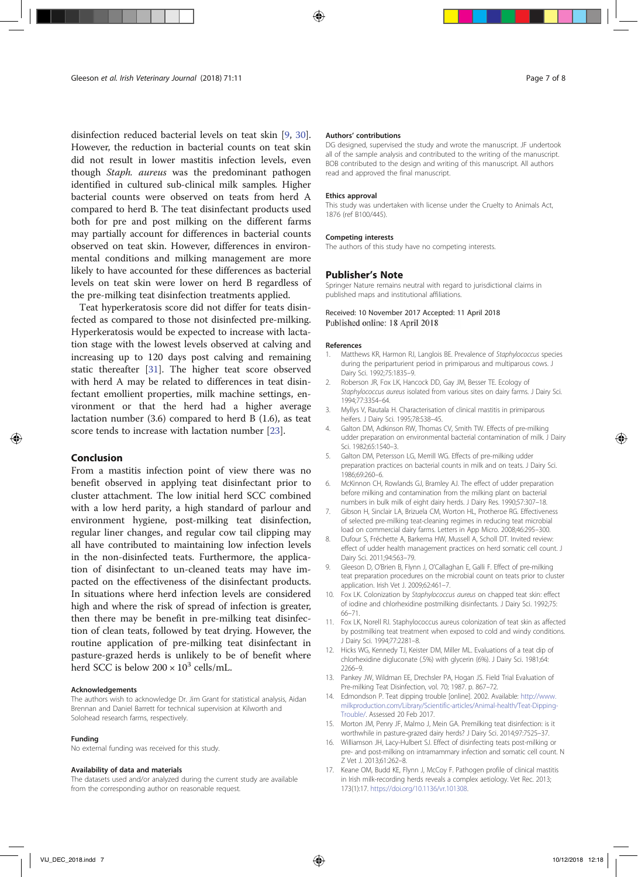disinfection reduced bacterial levels on teat skin [9, 30]. However, the reduction in bacterial counts on teat skin did not result in lower mastitis infection levels, even though Staph. aureus was the predominant pathogen identified in cultured sub-clinical milk samples. Higher bacterial counts were observed on teats from herd A compared to herd B. The teat disinfectant products used both for pre and post milking on the different farms may partially account for differences in bacterial counts observed on teat skin. However, differences in environmental conditions and milking management are more likely to have accounted for these differences as bacterial levels on teat skin were lower on herd B regardless of the pre-milking teat disinfection treatments applied.

Teat hyperkeratosis score did not differ for teats disinfected as compared to those not disinfected pre-milking. Hyperkeratosis would be expected to increase with lactation stage with the lowest levels observed at calving and increasing up to 120 days post calving and remaining static thereafter [31]. The higher teat score observed with herd A may be related to differences in teat disinfectant emollient properties, milk machine settings, environment or that the herd had a higher average lactation number (3.6) compared to herd B (1.6), as teat score tends to increase with lactation number [23].

#### Conclusion

From a mastitis infection point of view there was no benefit observed in applying teat disinfectant prior to cluster attachment. The low initial herd SCC combined with a low herd parity, a high standard of parlour and environment hygiene, post-milking teat disinfection, regular liner changes, and regular cow tail clipping may all have contributed to maintaining low infection levels in the non-disinfected teats. Furthermore, the application of disinfectant to un-cleaned teats may have impacted on the effectiveness of the disinfectant products. In situations where herd infection levels are considered high and where the risk of spread of infection is greater, then there may be benefit in pre-milking teat disinfection of clean teats, followed by teat drying. However, the routine application of pre-milking teat disinfectant in pasture-grazed herds is unlikely to be of benefit where herd SCC is below  $200 \times 10^3$  cells/mL.

#### Acknowledgements

The authors wish to acknowledge Dr. Jim Grant for statistical analysis, Aidan Brennan and Daniel Barrett for technical supervision at Kilworth and Solohead research farms, respectively.

#### Funding

No external funding was received for this study.

#### Availability of data and materials

The datasets used and/or analyzed during the current study are available from the corresponding author on reasonable request.

#### Authors' contributions

DG designed, supervised the study and wrote the manuscript. JF undertook all of the sample analysis and contributed to the writing of the manuscript. BOB contributed to the design and writing of this manuscript. All authors read and approved the final manuscript.

#### Ethics approval

This study was undertaken with license under the Cruelty to Animals Act, 1876 (ref B100/445).

#### Competing interests

The authors of this study have no competing interests.

#### Publisher's Note

Springer Nature remains neutral with regard to jurisdictional claims in published maps and institutional affiliations.

#### Received: 10 November 2017 Accepted: 11 April 2018 Published online: 18 April 2018

#### References

- 1. Matthews KR, Harmon RJ, Langlois BE. Prevalence of Staphylococcus species during the periparturient period in primiparous and multiparous cows. J Dairy Sci. 1992;75:1835–9.
- 2. Roberson JR, Fox LK, Hancock DD, Gay JM, Besser TE. Ecology of Staphylococcus aureus isolated from various sites on dairy farms. J Dairy Sci. 1994;77:3354–64.
- 3. Myllys V, Rautala H. Characterisation of clinical mastitis in primiparous heifers. J Dairy Sci. 1995;78:538–45.
- 4. Galton DM, Adkinson RW, Thomas CV, Smith TW. Effects of pre-milking udder preparation on environmental bacterial contamination of milk. J Dairy Sci. 1982;65:1540–3.
- 5. Galton DM, Petersson LG, Merrill WG. Effects of pre-milking udder preparation practices on bacterial counts in milk and on teats. J Dairy Sci. 1986;69:260–6.
- 6. McKinnon CH, Rowlands GJ, Bramley AJ. The effect of udder preparation before milking and contamination from the milking plant on bacterial numbers in bulk milk of eight dairy herds. J Dairy Res. 1990;57:307–18.
- 7. Gibson H, Sinclair LA, Brizuela CM, Worton HL, Protheroe RG. Effectiveness of selected pre-milking teat-cleaning regimes in reducing teat microbial load on commercial dairy farms. Letters in App Micro. 2008;46:295–300.
- 8. Dufour S, Fréchette A, Barkema HW, Mussell A, Scholl DT. Invited review: effect of udder health management practices on herd somatic cell count. J Dairy Sci. 2011;94:563–79.
- 9. Gleeson D, O'Brien B, Flynn J, O'Callaghan E, Galli F. Effect of pre-milking teat preparation procedures on the microbial count on teats prior to cluster application. Irish Vet J. 2009;62:461–7.
- 10. Fox LK. Colonization by Staphylococcus aureus on chapped teat skin: effect of iodine and chlorhexidine postmilking disinfectants. J Dairy Sci. 1992;75: 66–71.
- 11. Fox LK, Norell RJ. Staphylococcus aureus colonization of teat skin as affected by postmilking teat treatment when exposed to cold and windy conditions. J Dairy Sci. 1994;77:2281–8.
- 12. Hicks WG, Kennedy TJ, Keister DM, Miller ML. Evaluations of a teat dip of chlorhexidine digluconate (.5%) with glycerin (6%). J Dairy Sci. 1981;64: 2266–9.
- 13. Pankey JW, Wildman EE, Drechsler PA, Hogan JS. Field Trial Evaluation of Pre-milking Teat Disinfection, vol. 70; 1987. p. 867–72.
- 14. Edmondson P. Teat dipping trouble [online]. 2002. Available: http://www. milkproduction.com/Library/Scientific-articles/Animal-health/Teat-Dipping-Trouble/. Assessed 20 Feb 2017.
- 15. Morton JM, Penry JF, Malmo J, Mein GA. Premilking teat disinfection: is it worthwhile in pasture-grazed dairy herds? J Dairy Sci. 2014;97:7525–37.
- 16. Williamson JH, Lacy-Hulbert SJ. Effect of disinfecting teats post-milking or pre- and post-milking on intramammary infection and somatic cell count. N Z Vet J. 2013;61:262–8.
- 17. Keane OM, Budd KE, Flynn J, McCoy F. Pathogen profile of clinical mastitis in Irish milk-recording herds reveals a complex aetiology. Vet Rec. 2013; 173(1):17. https://doi.org/10.1136/vr.101308.